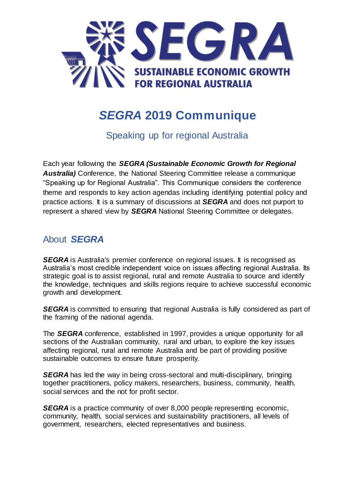

# *SEGRA* **2019 Communique**

Speaking up for regional Australia

Each year following the *SEGRA (Sustainable Economic Growth for Regional Australia)* Conference, the National Steering Committee release a communique "Speaking up for Regional Australia". This Communique considers the conference theme and responds to key action agendas including identifying potential policy and practice actions. It is a summary of discussions at *SEGRA* and does not purport to represent a shared view by *SEGRA* National Steering Committee or delegates.

#### About *SEGRA*

**SEGRA** is Australia's premier conference on regional issues. It is recognised as Australia's most credible independent voice on issues affecting regional Australia. Its strategic goal is to assist regional, rural and remote Australia to source and identify the knowledge, techniques and skills regions require to achieve successful economic growth and development.

**SEGRA** is committed to ensuring that regional Australia is fully considered as part of the framing of the national agenda.

The *SEGRA* conference, established in 1997, provides a unique opportunity for all sections of the Australian community, rural and urban, to explore the key issues affecting regional, rural and remote Australia and be part of providing positive sustainable outcomes to ensure future prosperity.

**SEGRA** has led the way in being cross-sectoral and multi-disciplinary, bringing together practitioners, policy makers, researchers, business, community, health, social services and the not for profit sector.

**SEGRA** is a practice community of over 8,000 people representing economic, community, health, social services and sustainability practitioners, all levels of government, researchers, elected representatives and business.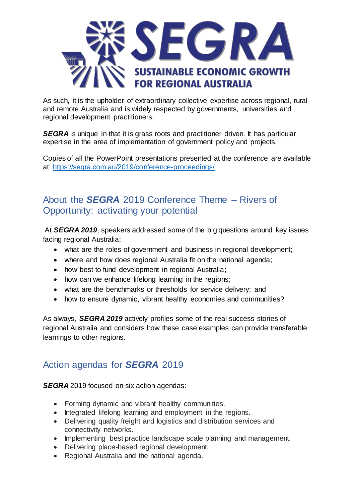

As such, it is the upholder of extraordinary collective expertise across regional, rural and remote Australia and is widely respected by governments, universities and regional development practitioners.

**SEGRA** is unique in that it is grass roots and practitioner driven. It has particular expertise in the area of implementation of government policy and projects.

Copies of all the PowerPoint presentations presented at the conference are available at: <https://segra.com.au/2019/conference-proceedings/>

## About the *SEGRA* 2019 Conference Theme – Rivers of Opportunity: activating your potential

At *SEGRA 2019*, speakers addressed some of the big questions around key issues facing regional Australia:

- what are the roles of government and business in regional development;
- where and how does regional Australia fit on the national agenda;
- how best to fund development in regional Australia;
- how can we enhance lifelong learning in the regions;
- what are the benchmarks or thresholds for service delivery; and
- how to ensure dynamic, vibrant healthy economies and communities?

As always, *SEGRA 2019* actively profiles some of the real success stories of regional Australia and considers how these case examples can provide transferable learnings to other regions.

#### Action agendas for *SEGRA* 2019

**SEGRA** 2019 focused on six action agendas:

- Forming dynamic and vibrant healthy communities.
- Integrated lifelong learning and employment in the regions.
- Delivering quality freight and logistics and distribution services and connectivity networks.
- Implementing best practice landscape scale planning and management.
- Delivering place-based regional development.
- Regional Australia and the national agenda.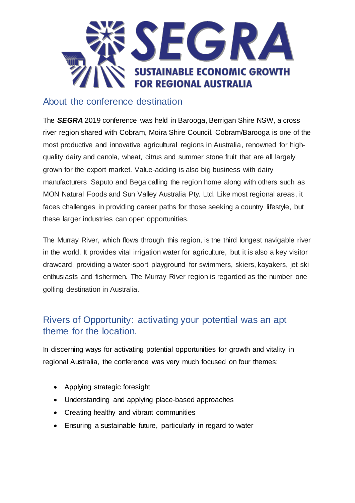

#### About the conference destination

The *SEGRA* 2019 conference was held in Barooga, Berrigan Shire NSW, a cross river region shared with Cobram, Moira Shire Council. Cobram/Barooga is one of the most productive and innovative agricultural regions in Australia, renowned for highquality dairy and canola, wheat, citrus and summer stone fruit that are all largely grown for the export market. Value-adding is also big business with dairy manufacturers Saputo and Bega calling the region home along with others such as MON Natural Foods and Sun Valley Australia Pty. Ltd. Like most regional areas, it faces challenges in providing career paths for those seeking a country lifestyle, but these larger industries can open opportunities.

The Murray River, which flows through this region, is the third longest navigable river in the world. It provides vital irrigation water for agriculture, but it is also a key visitor drawcard, providing a water-sport playground for swimmers, skiers, kayakers, jet ski enthusiasts and fishermen. The Murray River region is regarded as the number one golfing destination in Australia.

## Rivers of Opportunity: activating your potential was an apt theme for the location.

In discerning ways for activating potential opportunities for growth and vitality in regional Australia, the conference was very much focused on four themes:

- Applying strategic foresight
- Understanding and applying place-based approaches
- Creating healthy and vibrant communities
- Ensuring a sustainable future, particularly in regard to water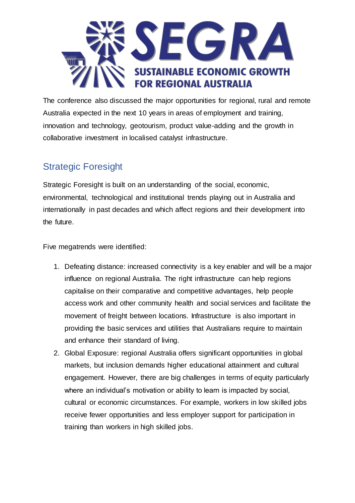

The conference also discussed the major opportunities for regional, rural and remote Australia expected in the next 10 years in areas of employment and training, innovation and technology, geotourism, product value-adding and the growth in collaborative investment in localised catalyst infrastructure.

# Strategic Foresight

Strategic Foresight is built on an understanding of the social, economic, environmental, technological and institutional trends playing out in Australia and internationally in past decades and which affect regions and their development into the future.

Five megatrends were identified:

- 1. Defeating distance: increased connectivity is a key enabler and will be a major influence on regional Australia. The right infrastructure can help regions capitalise on their comparative and competitive advantages, help people access work and other community health and social services and facilitate the movement of freight between locations. Infrastructure is also important in providing the basic services and utilities that Australians require to maintain and enhance their standard of living.
- 2. Global Exposure: regional Australia offers significant opportunities in global markets, but inclusion demands higher educational attainment and cultural engagement. However, there are big challenges in terms of equity particularly where an individual's motivation or ability to learn is impacted by social, cultural or economic circumstances. For example, workers in low skilled jobs receive fewer opportunities and less employer support for participation in training than workers in high skilled jobs.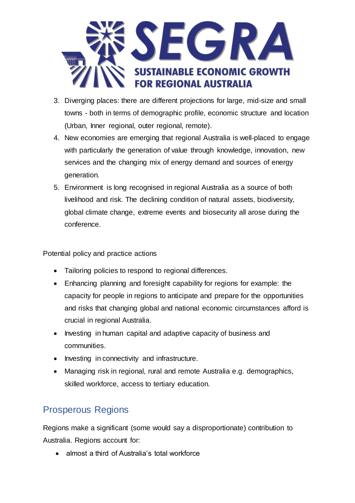

- 3. Diverging places: there are different projections for large, mid-size and small towns - both in terms of demographic profile, economic structure and location (Urban, Inner regional, outer regional, remote).
- 4. New economies are emerging that regional Australia is well-placed to engage with particularly the generation of value through knowledge, innovation, new services and the changing mix of energy demand and sources of energy generation.
- 5. Environment is long recognised in regional Australia as a source of both livelihood and risk. The declining condition of natural assets, biodiversity, global climate change, extreme events and biosecurity all arose during the conference.

Potential policy and practice actions

- Tailoring policies to respond to regional differences.
- Enhancing planning and foresight capability for regions for example: the capacity for people in regions to anticipate and prepare for the opportunities and risks that changing global and national economic circumstances afford is crucial in regional Australia.
- Investing in human capital and adaptive capacity of business and communities.
- Investing in connectivity and infrastructure.
- Managing risk in regional, rural and remote Australia e.g. demographics, skilled workforce, access to tertiary education.

# Prosperous Regions

Regions make a significant (some would say a disproportionate) contribution to Australia. Regions account for:

• almost a third of Australia's total workforce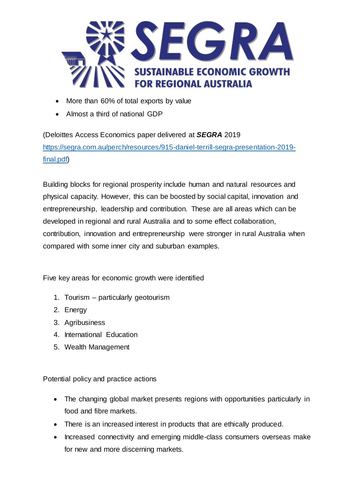

- More than 60% of total exports by value
- Almost a third of national GDP

(Deloittes Access Economics paper delivered at *SEGRA* 2019 [https://segra.com.au/perch/resources/915-daniel-terrill-segra-presentation-2019](https://segra.com.au/perch/resources/915-daniel-terrill-segra-presentation-2019-final.pdf) [final.pdf\)](https://segra.com.au/perch/resources/915-daniel-terrill-segra-presentation-2019-final.pdf)

Building blocks for regional prosperity include human and natural resources and physical capacity. However, this can be boosted by social capital, innovation and entrepreneurship, leadership and contribution. These are all areas which can be developed in regional and rural Australia and to some effect collaboration, contribution, innovation and entrepreneurship were stronger in rural Australia when compared with some inner city and suburban examples.

Five key areas for economic growth were identified

- 1. Tourism particularly geotourism
- 2. Energy
- 3. Agribusiness
- 4. International Education
- 5. Wealth Management

Potential policy and practice actions

- The changing global market presents regions with opportunities particularly in food and fibre markets.
- There is an increased interest in products that are ethically produced.
- Increased connectivity and emerging middle-class consumers overseas make for new and more discerning markets.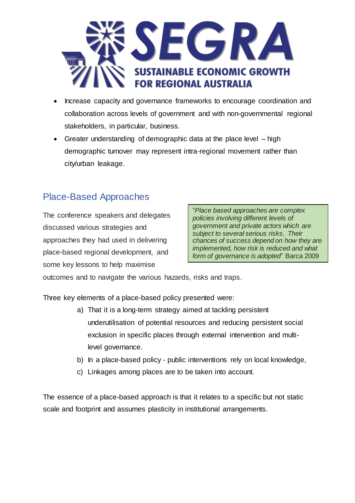

- Increase capacity and governance frameworks to encourage coordination and collaboration across levels of government and with non-governmental regional stakeholders, in particular, business.
- Greater understanding of demographic data at the place level high demographic turnover may represent intra-regional movement rather than city/urban leakage.

# Place-Based Approaches

The conference speakers and delegates discussed various strategies and approaches they had used in delivering place-based regional development, and some key lessons to help maximise

"*Place based approaches are complex policies involving different levels of government and private actors which are subject to several serious risks. Their chances of success depend on how they are implemented, how risk is reduced and what form of governance is adopted*" Barca 2009

outcomes and to navigate the various hazards, risks and traps.

Three key elements of a place-based policy presented were:

- a) That it is a long-term strategy aimed at tackling persistent underutilisation of potential resources and reducing persistent social exclusion in specific places through external intervention and multilevel governance.
- b) In a place-based policy public interventions rely on local knowledge,
- c) Linkages among places are to be taken into account.

The essence of a place-based approach is that it relates to a specific but not static scale and footprint and assumes plasticity in institutional arrangements.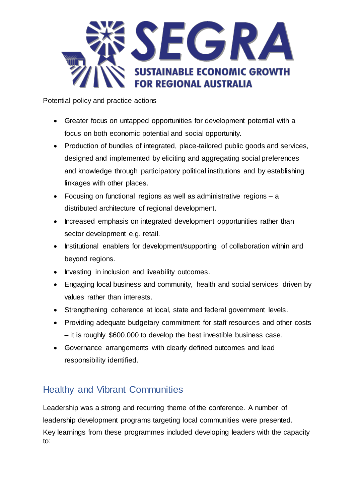

Potential policy and practice actions

- Greater focus on untapped opportunities for development potential with a focus on both economic potential and social opportunity.
- Production of bundles of integrated, place-tailored public goods and services, designed and implemented by eliciting and aggregating social preferences and knowledge through participatory political institutions and by establishing linkages with other places.
- Focusing on functional regions as well as administrative regions a distributed architecture of regional development.
- Increased emphasis on integrated development opportunities rather than sector development e.g. retail.
- Institutional enablers for development/supporting of collaboration within and beyond regions.
- Investing in inclusion and liveability outcomes.
- Engaging local business and community, health and social services driven by values rather than interests.
- Strengthening coherence at local, state and federal government levels.
- Providing adequate budgetary commitment for staff resources and other costs – it is roughly \$600,000 to develop the best investible business case.
- Governance arrangements with clearly defined outcomes and lead responsibility identified.

# Healthy and Vibrant Communities

Leadership was a strong and recurring theme of the conference. A number of leadership development programs targeting local communities were presented. Key learnings from these programmes included developing leaders with the capacity to: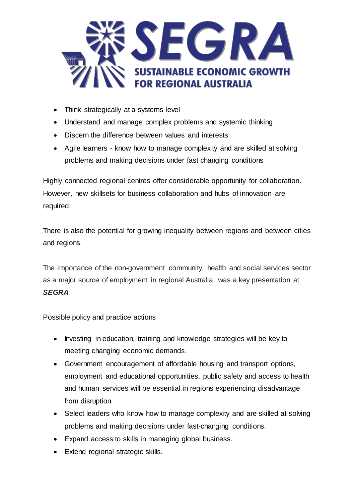

- Think strategically at a systems level
- Understand and manage complex problems and systemic thinking
- Discern the difference between values and interests
- Agile learners know how to manage complexity and are skilled at solving problems and making decisions under fast changing conditions

Highly connected regional centres offer considerable opportunity for collaboration. However, new skillsets for business collaboration and hubs of innovation are required.

There is also the potential for growing inequality between regions and between cities and regions.

The importance of the non-government community, health and social services sector as a major source of employment in regional Australia, was a key presentation at *SEGRA*.

Possible policy and practice actions

- Investing in education, training and knowledge strategies will be key to meeting changing economic demands.
- Government encouragement of affordable housing and transport options, employment and educational opportunities, public safety and access to health and human services will be essential in regions experiencing disadvantage from disruption.
- Select leaders who know how to manage complexity and are skilled at solving problems and making decisions under fast-changing conditions.
- Expand access to skills in managing global business.
- Extend regional strategic skills.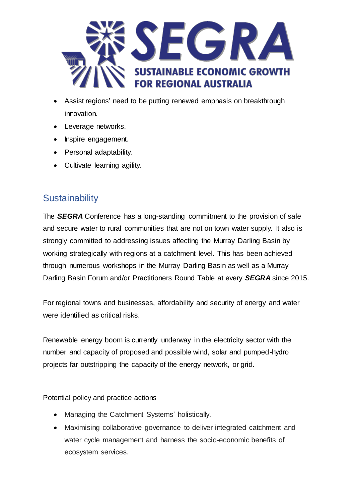

- Assist regions' need to be putting renewed emphasis on breakthrough innovation.
- Leverage networks.
- Inspire engagement.
- Personal adaptability.
- Cultivate learning agility.

#### **Sustainability**

The *SEGRA* Conference has a long-standing commitment to the provision of safe and secure water to rural communities that are not on town water supply. It also is strongly committed to addressing issues affecting the Murray Darling Basin by working strategically with regions at a catchment level. This has been achieved through numerous workshops in the Murray Darling Basin as well as a Murray Darling Basin Forum and/or Practitioners Round Table at every *SEGRA* since 2015.

For regional towns and businesses, affordability and security of energy and water were identified as critical risks.

Renewable energy boom is currently underway in the electricity sector with the number and capacity of proposed and possible wind, solar and pumped-hydro projects far outstripping the capacity of the energy network, or grid.

Potential policy and practice actions

- Managing the Catchment Systems' holistically.
- Maximising collaborative governance to deliver integrated catchment and water cycle management and harness the socio-economic benefits of ecosystem services.